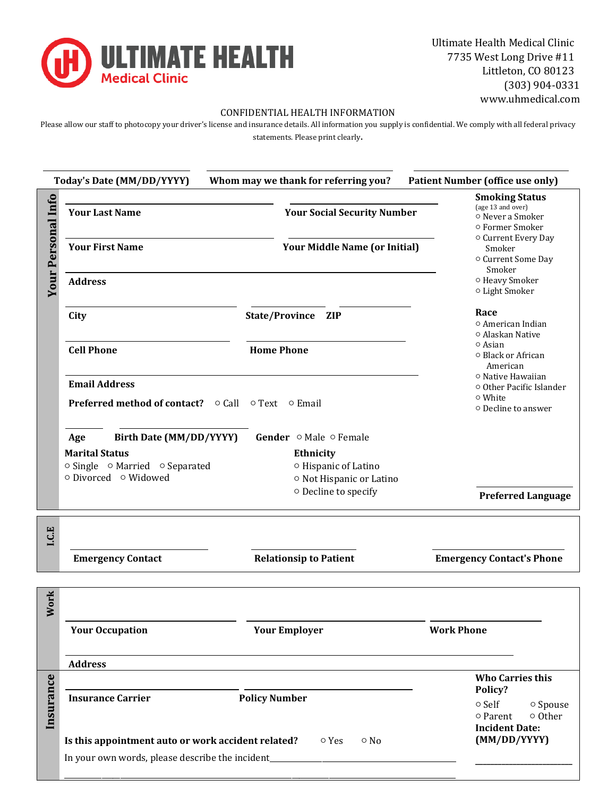

Ultimate Health Medical Clinic 7735 West Long Drive #11 Littleton, CO 80123 (303) 904-0331 www.uhmedical.com

### CONFIDENTIAL HEALTH INFORMATION

Please allow our staff to photocopy your driver's license and insurance details. All information you supply is confidential. We comply with all federal privacy statements. Please print clearly.

|                                                           |                                      | <b>Smoking Status</b>                                                           |
|-----------------------------------------------------------|--------------------------------------|---------------------------------------------------------------------------------|
| Your Personal Info<br><b>Your Last Name</b>               | <b>Your Social Security Number</b>   | (age 13 and over)<br>o Never a Smoker<br>○ Former Smoker                        |
| <b>Your First Name</b>                                    | <b>Your Middle Name (or Initial)</b> | O Current Every Day<br>Smoker<br>O Current Some Day<br>Smoker                   |
| <b>Address</b>                                            |                                      | o Heavy Smoker<br>o Light Smoker                                                |
| City                                                      | State/Province ZIP                   | Race<br>o American Indian<br>○ Alaskan Native                                   |
| <b>Cell Phone</b>                                         | <b>Home Phone</b>                    | ○ Asian<br>○ Black or African<br>American                                       |
| <b>Email Address</b>                                      |                                      | ○ Native Hawaiian<br>○ Other Pacific Islander                                   |
| <b>Preferred method of contact?</b> ○ Call ○ Text ○ Email |                                      | ○ White<br>○ Decline to answer                                                  |
| Birth Date (MM/DD/YYYY)<br>Age                            | Gender ⊙ Male ⊙ Female               |                                                                                 |
| <b>Marital Status</b>                                     | Ethnicity                            |                                                                                 |
| ○ Single ○ Married ○ Separated                            | O Hispanic of Latino                 |                                                                                 |
| ○ Divorced ○ Widowed                                      | O Not Hispanic or Latino             |                                                                                 |
|                                                           | o Decline to specify                 | <b>Preferred Language</b>                                                       |
|                                                           |                                      |                                                                                 |
|                                                           |                                      |                                                                                 |
| <b>Emergency Contact</b>                                  | <b>Relationsip to Patient</b>        | <b>Emergency Contact's Phone</b>                                                |
|                                                           |                                      |                                                                                 |
| <b>Your Occupation</b>                                    | <b>Your Employer</b>                 | <b>Work Phone</b>                                                               |
| <b>Address</b>                                            |                                      |                                                                                 |
| <b>Insurance Carrier</b>                                  | <b>Policy Number</b>                 | <b>Who Carries this</b><br>Policy?<br>o Self<br>o Spouse<br>o Other<br>○ Parent |
| Is this appointment auto or work accident related?        | o Yes<br>$\circ$ No                  | <b>Incident Date:</b><br>(MM/DD/YYYY)                                           |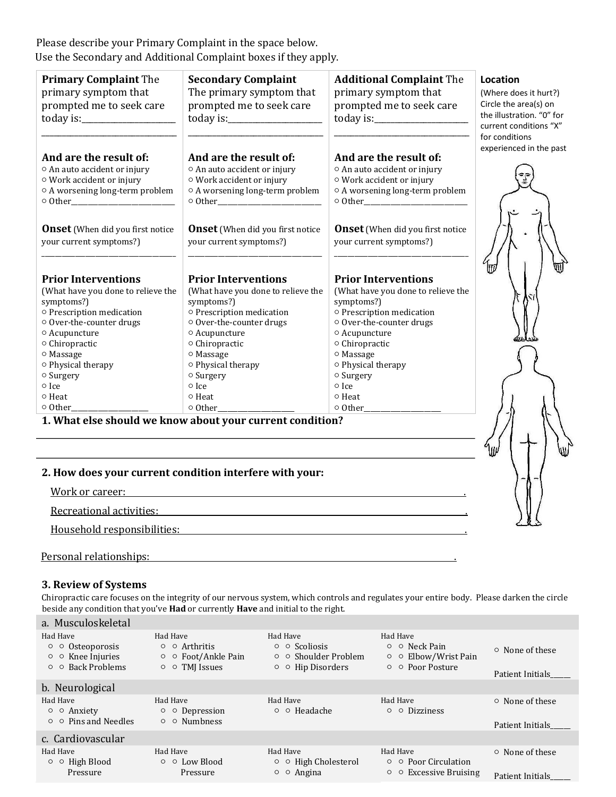Please describe your Primary Complaint in the space below. Use the Secondary and Additional Complaint boxes if they apply.

| <b>Primary Complaint The</b><br>primary symptom that<br>prompted me to seek care | <b>Secondary Complaint</b><br>The primary symptom that<br>prompted me to seek care      | <b>Additional Complaint The</b><br>primary symptom that<br>prompted me to seek care | Location<br>(Where does it hurt?)<br>Circle the area(s) on<br>the illustration. "0" for<br>current conditions "X"<br>for conditions |
|----------------------------------------------------------------------------------|-----------------------------------------------------------------------------------------|-------------------------------------------------------------------------------------|-------------------------------------------------------------------------------------------------------------------------------------|
| And are the result of:                                                           | And are the result of:                                                                  | And are the result of:                                                              | experienced in the past                                                                                                             |
| ○ An auto accident or injury                                                     | ○ An auto accident or injury                                                            | ○ An auto accident or injury                                                        |                                                                                                                                     |
| ○ Work accident or injury                                                        | O Work accident or injury                                                               | O Work accident or injury                                                           |                                                                                                                                     |
| O A worsening long-term problem                                                  | O A worsening long-term problem                                                         | $\circ$ A worsening long-term problem                                               |                                                                                                                                     |
| $\circ$ Other                                                                    | $\circ$ Other                                                                           | $\circ$ Other                                                                       |                                                                                                                                     |
| <b>Onset</b> (When did you first notice                                          | <b>Onset</b> (When did you first notice                                                 | <b>Onset</b> (When did you first notice                                             | lπ                                                                                                                                  |
| your current symptoms?)                                                          | your current symptoms?)                                                                 | your current symptoms?)                                                             |                                                                                                                                     |
| <b>Prior Interventions</b>                                                       | <b>Prior Interventions</b>                                                              | <b>Prior Interventions</b>                                                          |                                                                                                                                     |
| (What have you done to relieve the                                               | (What have you done to relieve the                                                      | (What have you done to relieve the                                                  |                                                                                                                                     |
| symptoms?)                                                                       | symptoms?)                                                                              | symptoms?)                                                                          |                                                                                                                                     |
| o Prescription medication                                                        | o Prescription medication                                                               | o Prescription medication                                                           |                                                                                                                                     |
| ○ Over-the-counter drugs                                                         | ○ Over-the-counter drugs                                                                | ○ Over-the-counter drugs                                                            |                                                                                                                                     |
| ○ Acupuncture                                                                    | ○ Acupuncture                                                                           | ○ Acupuncture                                                                       |                                                                                                                                     |
| ○ Chiropractic                                                                   | ○ Chiropractic                                                                          | ○ Chiropractic                                                                      |                                                                                                                                     |
| ○ Massage                                                                        | ○ Massage                                                                               | ○ Massage                                                                           |                                                                                                                                     |
| ○ Physical therapy                                                               | o Physical therapy                                                                      | o Physical therapy                                                                  |                                                                                                                                     |
| o Surgery                                                                        | o Surgery                                                                               | o Surgery                                                                           |                                                                                                                                     |
| o Ice<br>○ Heat<br>○ Other                                                       | o Ice<br>○ Heat<br>○ Other<br>1. What else should we know about your current condition? | o Ice<br>o Heat<br>$\circ$ Other                                                    |                                                                                                                                     |

## **2. How does your current condition interfere with your:**

Work or career:  $\blacksquare$ 

Recreational activities: .

Household responsibilities: .

Personal relationships: .

#### **3. Review of Systems**

Chiropractic care focuses on the integrity of our nervous system, which controls and regulates your entire body. Please darken the circle beside any condition that you've **Had** or currently **Have** and initial to the right.

| Had Have<br>Had Have<br>Had Have<br>Had Have<br>$\circ$ $\circ$ Scoliosis<br>$\circ$ $\circ$ Neck Pain<br>$\circ$ $\circ$ Arthritis<br>$\circ$ $\circ$ Osteoporosis<br>$\circ$ None of these                                                                                                                            |  |
|-------------------------------------------------------------------------------------------------------------------------------------------------------------------------------------------------------------------------------------------------------------------------------------------------------------------------|--|
| $\circ$ $\circ$ Knee Injuries<br>$\circ$ $\circ$ Foot/Ankle Pain<br>$\circ$ $\circ$ Shoulder Problem<br>$\circ$ $\circ$ Elbow/Wrist Pain<br>$\circ$ $\circ$ Back Problems<br>$\circ$ $\circ$ TMJ Issues<br>$\circ$ $\circ$ Hip Disorders<br>$\circ$ $\circ$ Poor Posture<br>Patient Initials                            |  |
| b. Neurological                                                                                                                                                                                                                                                                                                         |  |
| Had Have<br>Had Have<br>Had Have<br>Had Have<br>$\circ$ None of these<br>$\circ$ $\circ$ Headache<br>○ ○ Depression<br>$\circ$ $\circ$ Anxiety<br>$\circ$ $\circ$ Dizziness                                                                                                                                             |  |
| $\circ$ $\circ$ Pins and Needles<br>$\circ$ $\circ$ Numbness<br>Patient Initials                                                                                                                                                                                                                                        |  |
| c. Cardiovascular                                                                                                                                                                                                                                                                                                       |  |
| Had Have<br>Had Have<br>Had Have<br>Had Have<br>$\circ$ None of these<br>$\circ$ $\circ$ High Blood<br>$\circ$ $\circ$ Low Blood<br>$\circ$ $\circ$ High Cholesterol<br>$\circ$ $\circ$ Poor Circulation<br>$\circ$ $\circ$ Angina<br>$\circ$ Excessive Bruising<br>Pressure<br>$\circ$<br>Pressure<br>Patient Initials |  |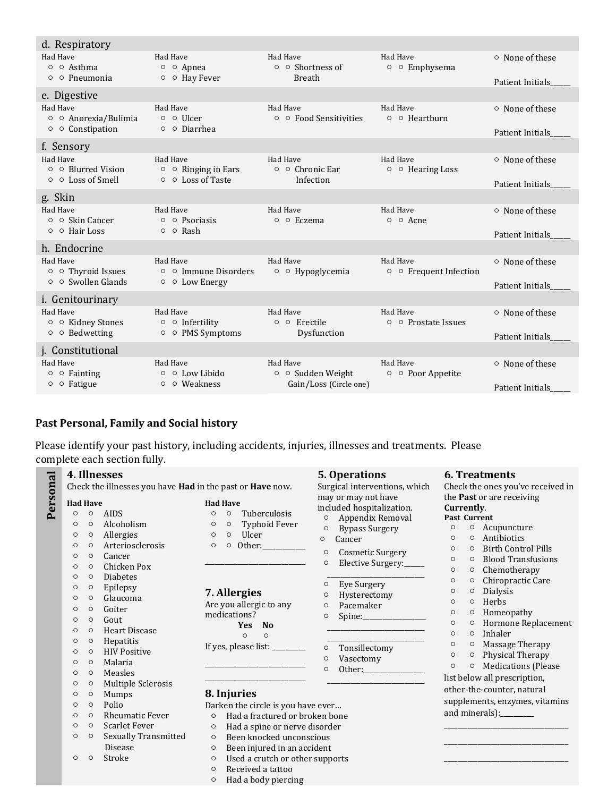| d. Respiratory                             |                                             |                                          |                                          |                       |
|--------------------------------------------|---------------------------------------------|------------------------------------------|------------------------------------------|-----------------------|
| Had Have<br>○ ○ Asthma                     | Had Have<br>o o Apnea                       | Had Have<br>$\circ$ $\circ$ Shortness of | Had Have<br>$\circ$ $\circ$ Emphysema    | $\circ$ None of these |
| $\circ$ $\circ$ Pneumonia                  | ○ ○ Hav Fever                               | <b>Breath</b>                            |                                          | Patient Initials      |
| e. Digestive                               |                                             |                                          |                                          |                       |
| Had Have<br>○ ○ Anorexia/Bulimia           | Had Have<br>o o Ulcer                       | Had Have<br>○ ○ Food Sensitivities       | Had Have<br>$\circ$ $\circ$ Hearthurn    | $\circ$ None of these |
| $\circ$ $\circ$ Constipation               | ○ ○ Diarrhea                                |                                          |                                          | Patient Initials      |
| f. Sensory                                 |                                             |                                          |                                          |                       |
| Had Have<br>$\circ$ $\circ$ Blurred Vision | Had Have<br>$\circ$ $\circ$ Ringing in Ears | Had Have<br>$\circ$ $\circ$ Chronic Ear  | Had Have<br>$\circ$ $\circ$ Hearing Loss | ○ None of these       |
| $\circ$ $\circ$ Loss of Smell              | $\circ$ $\circ$ Loss of Taste               | Infection                                |                                          | Patient Initials      |
| g. Skin                                    |                                             |                                          |                                          |                       |
| Had Have<br>$\circ$ $\circ$ Skin Cancer    | Had Have<br>$\circ$ $\circ$ Psoriasis       | Had Have<br>○ ○ Eczema                   | Had Have<br>○ ○ Acne                     | $\circ$ None of these |
| $\circ$ $\circ$ Hair Loss                  | $\circ$ $\circ$ Rash                        |                                          |                                          | Patient Initials      |
| h. Endocrine                               |                                             |                                          |                                          |                       |
| Had Have<br>○ ○ Thyroid Issues             | Had Have<br>o o Immune Disorders            | Had Have<br>o o Hypoglycemia             | Had Have<br>○ ○ Frequent Infection       | $\circ$ None of these |
| $\circ$ $\circ$ Swollen Glands             | ○ ○ Low Energy                              |                                          |                                          | Patient Initials      |
| i. Genitourinary                           |                                             |                                          |                                          |                       |
| Had Have<br>○ ○ Kidney Stones              | Had Have<br>$\circ$ o Infertility           | Had Have<br>○ ○ Erectile                 | Had Have<br>○ ○ Prostate Issues          | ○ None of these       |
| $\circ$ $\circ$ Bedwetting                 | ○ ○ PMS Symptoms                            | Dysfunction                              |                                          | Patient Initials      |
| j. Constitutional                          |                                             |                                          |                                          |                       |
| Had Have                                   | Had Have                                    | Had Have                                 | Had Have                                 | ○ None of these       |
| $\circ$ $\circ$ Fainting<br>o o Fatigue    | $\circ$ $\circ$ Low Libido<br>o o Weakness  | ○ ○ Sudden Weight                        | ○ ○ Poor Appetite                        |                       |
|                                            |                                             | Gain/Loss (Circle one)                   |                                          | Patient Initials      |

# **Past Personal, Family and Social history**

Please identify your past history, including accidents, injuries, illnesses and treatments. Please complete each section fully.

|          |                                                                                                                                                                                                                                                                              |                                                                                                                                                                                                                                                           | 4. Illnesses<br>Check the illnesses you have Had in the past or Have now.                                                                                                                                                                                                                                                                                                        |                                                                                           |                                                                                                                                                                                                                                                                                                                                                                                                                                                                                        |                                                                                                                            | 5. Operations<br>Surgical interventions, which                                                                                                                                                                                                                                                                                                                                           |                                                                                                                                                                                             |                                                                                                                                             | <b>6. Treatments</b><br>Check the ones you've received in                                                                                                                                                                                                                                                                                                                                                                            |
|----------|------------------------------------------------------------------------------------------------------------------------------------------------------------------------------------------------------------------------------------------------------------------------------|-----------------------------------------------------------------------------------------------------------------------------------------------------------------------------------------------------------------------------------------------------------|----------------------------------------------------------------------------------------------------------------------------------------------------------------------------------------------------------------------------------------------------------------------------------------------------------------------------------------------------------------------------------|-------------------------------------------------------------------------------------------|----------------------------------------------------------------------------------------------------------------------------------------------------------------------------------------------------------------------------------------------------------------------------------------------------------------------------------------------------------------------------------------------------------------------------------------------------------------------------------------|----------------------------------------------------------------------------------------------------------------------------|------------------------------------------------------------------------------------------------------------------------------------------------------------------------------------------------------------------------------------------------------------------------------------------------------------------------------------------------------------------------------------------|---------------------------------------------------------------------------------------------------------------------------------------------------------------------------------------------|---------------------------------------------------------------------------------------------------------------------------------------------|--------------------------------------------------------------------------------------------------------------------------------------------------------------------------------------------------------------------------------------------------------------------------------------------------------------------------------------------------------------------------------------------------------------------------------------|
| Personal | <b>Had Have</b><br>$\circ$<br>$\circ$<br>$\circ$<br>$\circ$<br>$\circ$<br>$\circ$<br>$\circ$<br>$\circ$<br>$\circ$<br>$\circ$<br>$\circ$<br>$\circ$<br>$\circ$<br>$\circ$<br>$\circ$<br>$\circ$<br>$\circ$<br>$\circ$<br>$\circ$<br>$\circ$<br>$\circ$<br>$\circ$<br>$\circ$ | $\circ$<br>$\circ$<br>$\circ$<br>$\circ$<br>$\circ$<br>$\circ$<br>$\circ$<br>$\circ$<br>$\circ$<br>$\circ$<br>$\circ$<br>$\circ$<br>$\circ$<br>$\circ$<br>$\circ$<br>$\circ$<br>$\circ$<br>$\circ$<br>$\circ$<br>$\circ$<br>$\circ$<br>$\circ$<br>$\circ$ | <b>AIDS</b><br>Alcoholism<br>Allergies<br>Arteriosclerosis<br>Cancer<br>Chicken Pox<br><b>Diabetes</b><br>Epilepsy<br>Glaucoma<br>Goiter<br>Gout<br><b>Heart Disease</b><br>Hepatitis<br><b>HIV Positive</b><br>Malaria<br>Measles<br>Multiple Sclerosis<br>Mumps<br>Polio<br><b>Rheumatic Fever</b><br><b>Scarlet Fever</b><br><b>Sexually Transmitted</b><br>Disease<br>Stroke | $\circ$<br>O<br>$\circ$<br>$\circ$<br>$\circ$<br>$\circ$<br>$\circ$<br>$\circ$<br>$\circ$ | <b>Had Have</b><br>Tuberculosis<br>$\circ$<br>Typhoid Fever<br>$\circ$<br>Ulcer<br>$\circ$<br>Other:<br>$\circ$<br>7. Allergies<br>Are you allergic to any<br>medications?<br><b>Yes</b><br>N <sub>o</sub><br>$\circ$<br>$\circ$<br>If yes, please list: _______<br>8. Injuries<br>Darken the circle is you have ever<br>Had a fractured or broken bone<br>Had a spine or nerve disorder<br>Been knocked unconscious<br>Been injured in an accident<br>Used a crutch or other supports | $\circ$<br>$\circ$<br>$\circ$<br>$\circ$<br>$\circ$<br>O<br>$\circ$<br>$\circ$<br>$\circ$<br>$\circ$<br>$\circ$<br>$\circ$ | may or may not have<br>included hospitalization.<br>Appendix Removal<br><b>Bypass Surgery</b><br>Cancer<br>Cosmetic Surgery<br>Elective Surgery:<br>Eye Surgery<br>Hysterectomy<br>Pacemaker<br>$Spine:\_\_\_\_\_\_\_\_\_\_\_\_\_$<br><u> 1980 - Johann Barbara, martxa a shekara 1980 - An tsara 1980 - An tsara 1980 - An tsara 1980 - An tsara 1980</u><br>Tonsillectomy<br>Vasectomy | Currently.<br><b>Past Current</b><br>$\circ$<br>$\circ$<br>$\circ$<br>$\circ$<br>$\circ$<br>$\circ$<br>$\circ$<br>$\circ$<br>$\circ$<br>$\circ$<br>$\circ$<br>$\circ$<br>$\circ$<br>$\circ$ | $\circ$<br>$\circ$<br>$\circ$<br>$\circ$<br>$\circ$<br>$\circ$<br>$\circ$<br>$\circ$<br>$\circ$<br>$\circ$<br>$\circ$<br>$\circ$<br>$\circ$ | the Past or are receiving<br>$\circ$ Acupuncture<br>Antibiotics<br><b>Birth Control Pills</b><br><b>Blood Transfusions</b><br>Chemotherapy<br>Chiropractic Care<br>Dialysis<br>Herbs<br>Homeopathy<br>Hormone Replacement<br>Inhaler<br>Massage Therapy<br>Physical Therapy<br><b>Medications</b> (Please<br>list below all prescription,<br>other-the-counter, natural<br>supplements, enzymes, vitamins<br>and minerals): ________ |
|          |                                                                                                                                                                                                                                                                              |                                                                                                                                                                                                                                                           |                                                                                                                                                                                                                                                                                                                                                                                  | $\circ$<br>$\circ$                                                                        | Received a tattoo<br>Had a body piercing                                                                                                                                                                                                                                                                                                                                                                                                                                               |                                                                                                                            |                                                                                                                                                                                                                                                                                                                                                                                          |                                                                                                                                                                                             |                                                                                                                                             |                                                                                                                                                                                                                                                                                                                                                                                                                                      |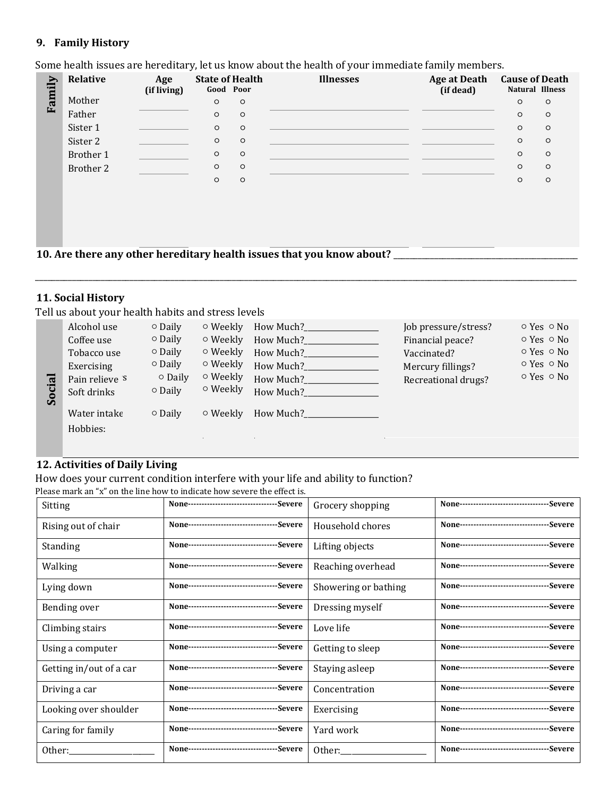## **9. Family History**

Some health issues are hereditary, let us know about the health of your immediate family members.

| Family | Relative  | Age<br>(if living) | <b>State of Health</b><br>Good Poor |         | <b>Illnesses</b> | <b>Age at Death</b><br>(if dead) | <b>Cause of Death</b><br>Natural Illness |         |
|--------|-----------|--------------------|-------------------------------------|---------|------------------|----------------------------------|------------------------------------------|---------|
|        | Mother    |                    | $\circ$                             | $\circ$ |                  |                                  | $\circ$                                  | $\circ$ |
|        | Father    |                    | $\circ$                             | $\circ$ |                  |                                  | $\circ$                                  | $\circ$ |
|        | Sister 1  |                    | $\circ$                             | $\circ$ |                  |                                  | $\circ$                                  | $\circ$ |
|        | Sister 2  |                    | $\circ$                             | $\circ$ |                  |                                  | $\circ$                                  | $\circ$ |
|        | Brother 1 |                    | $\circ$                             | $\circ$ |                  |                                  | $\circ$                                  | $\circ$ |
|        | Brother 2 |                    | $\circ$                             | $\circ$ |                  |                                  | $\circ$                                  | $\circ$ |
|        |           |                    | $\circ$                             | $\circ$ |                  |                                  | $\circ$                                  | $\circ$ |
|        |           |                    |                                     |         |                  |                                  |                                          |         |

10. Are there any other hereditary health issues that you know about?

## **11. Social History**

Tell us about your health habits and stress levels

|        | Alcohol use              | $\circ$ Daily | $\circ$ Weekly | How Much? | Job pressure/stress? | $\circ$ Yes $\circ$ No |
|--------|--------------------------|---------------|----------------|-----------|----------------------|------------------------|
|        | Coffee use               | $\circ$ Daily | ○ Weekly       | How Much? | Financial peace?     | $\circ$ Yes $\circ$ No |
|        | Tobacco use              | $\circ$ Daily | $\circ$ Weekly | How Much? | Vaccinated?          | $\circ$ Yes $\circ$ No |
|        | Exercising               | $\circ$ Daily | $\circ$ Weekly | How Much? | Mercury fillings?    | $\circ$ Yes $\circ$ No |
|        | Pain relieve S           | $\circ$ Daily | $\circ$ Weekly | How Much? | Recreational drugs?  | $\circ$ Yes $\circ$ No |
| Social | Soft drinks              | $\circ$ Daily | ○ Weekly       | How Much? |                      |                        |
|        | Water intake<br>Hobbies: | $\circ$ Daily | $\circ$ Weekly | How Much? |                      |                        |
|        |                          |               |                |           |                      |                        |

\_\_\_\_\_\_\_\_\_\_\_\_\_\_\_\_\_\_\_\_\_\_\_\_\_\_\_\_\_\_\_\_\_\_\_\_\_\_\_\_\_\_\_\_\_\_\_\_\_\_\_\_\_\_\_\_\_\_\_\_\_\_\_\_\_\_\_\_\_\_\_\_\_\_\_\_\_\_\_\_\_\_\_\_\_\_\_\_\_\_\_\_\_\_\_\_\_\_\_\_\_\_\_\_\_\_\_\_\_\_\_\_\_\_\_\_\_\_\_\_\_\_\_\_\_\_\_\_\_\_\_\_

# **12. Activities of Daily Living**

How does your current condition interfere with your life and ability to function? Please mark an "x" on the line how to indicate how severe the effect is.

|                         | $\alpha$ rease mark an $\alpha$ . On the fine now to intituate now severe the effect is. |                      |                                              |
|-------------------------|------------------------------------------------------------------------------------------|----------------------|----------------------------------------------|
| Sitting                 | None---------------------------------Severe                                              | Grocery shopping     | None---------------------------------Severe  |
| Rising out of chair     | None---------------------------------Severe                                              | Household chores     | None---------------------------------Severe  |
| <b>Standing</b>         | None---------------------------------Severe                                              | Lifting objects      | None---------------------------------Severe  |
| Walking                 | None---------------------------------Severe                                              | Reaching overhead    | None----------------------------------Severe |
| Lying down              | None---------------------------------Severe                                              | Showering or bathing | None---------------------------------Severe  |
| Bending over            | None----------------------------------Severe                                             | Dressing myself      | None----------------------------------Severe |
| Climbing stairs         | None----------------------------------Severe                                             | Love life            | None---------------------------------Severe  |
| Using a computer        | None---------------------------------Severe                                              | Getting to sleep     | None---------------------------------Severe  |
| Getting in/out of a car | None----------------------------------Severe                                             | Staying asleep       | None---------------------------------Severe  |
| Driving a car           | None---------------------------------Severe                                              | Concentration        | None----------------------------------Severe |
| Looking over shoulder   | None---------------------------------Severe                                              | Exercising           | None---------------------------------Severe  |
| Caring for family       | None---------------------------------Severe                                              | Yard work            | None----------------------------------Severe |
| Other:                  | None---------------------------------Severe                                              | Other:               | None---------------------------------Severe  |